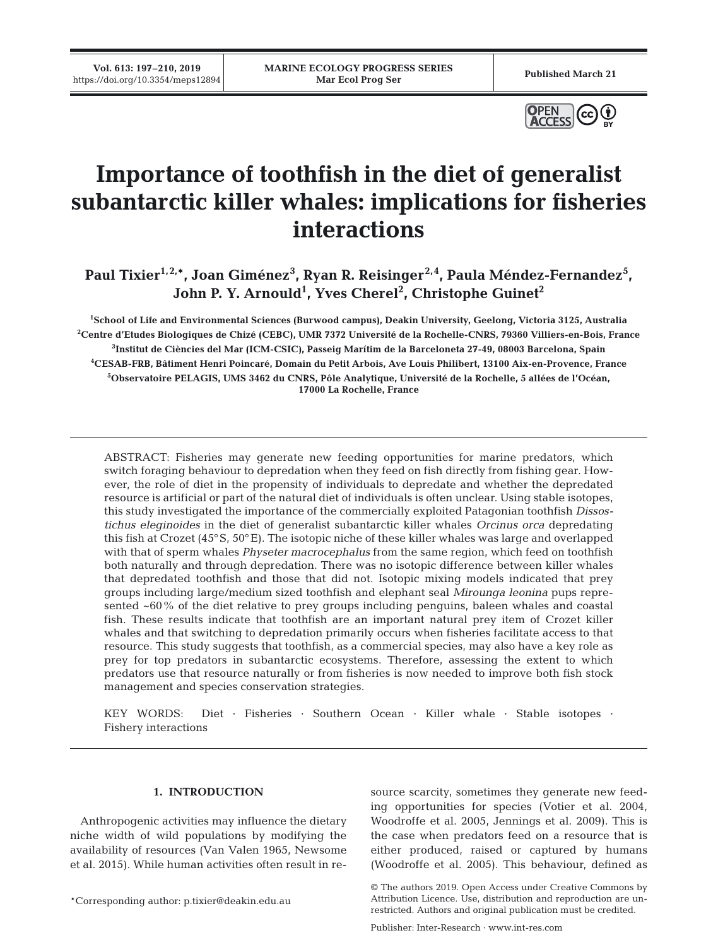**Vol. 613: 197–210, 2019**



# **Importance of toothfish in the diet of generalist subantarctic killer whales: implications for fisheries interactions**

Paul Tixier<sup>1,2,</sup>\*, Joan Giménez<sup>3</sup>, Ryan R. Reisinger<sup>2,4</sup>, Paula Méndez-Fernandez<sup>5</sup>, John P. Y. Arnould<sup>1</sup>, Yves Cherel<sup>2</sup>, Christophe Guinet<sup>2</sup>

 **School of Life and Environmental Sciences (Burwood campus), Deakin University, Geelong, Victoria 3125, Australia Centre d'Etudes Biologiques de Chizé (CEBC), UMR 7372 Université de la Rochelle-CNRS, 79360 Villiers-en-Bois, France Institut de Ciències del Mar (ICM-CSIC), Passeig Marítim de la Barceloneta 27-49, 08003 Barcelona, Spain CESAB-FRB, Bâtiment Henri Poincaré, Domain du Petit Arbois, Ave Louis Philibert, 13100 Aix-en-Provence, France Observatoire PELAGIS, UMS 3462 du CNRS, Pôle Analytique, Université de la Rochelle, 5 allées de l'Océan, 17000 La Rochelle, France**

ABSTRACT: Fisheries may generate new feeding opportunities for marine predators, which switch foraging behaviour to depredation when they feed on fish directly from fishing gear. However, the role of diet in the propensity of individuals to depredate and whether the depredated resource is artificial or part of the natural diet of individuals is often unclear. Using stable isotopes, this study investigated the importance of the commercially exploited Patagonian toothfish *Dissostichus eleginoides* in the diet of generalist subantarctic killer whales *Orcinus orca* depredating this fish at Crozet (45°S, 50°E). The isotopic niche of these killer whales was large and overlapped with that of sperm whales *Physeter macrocephalus* from the same region, which feed on toothfish both naturally and through depredation. There was no isotopic difference between killer whales that depredated toothfish and those that did not. Isotopic mixing models indicated that prey groups including large/medium sized toothfish and elephant seal *Mirounga leonina* pups represented ~60% of the diet relative to prey groups including penguins, baleen whales and coastal fish. These results indicate that toothfish are an important natural prey item of Crozet killer whales and that switching to depredation primarily occurs when fisheries facilitate access to that resource. This study suggests that toothfish, as a commercial species, may also have a key role as prey for top predators in subantarctic ecosystems. Therefore, assessing the extent to which predators use that resource naturally or from fisheries is now needed to improve both fish stock management and species conservation strategies.

KEY WORDS: Diet · Fisheries · Southern Ocean · Killer whale · Stable isotopes · Fishery interactions

## **1. INTRODUCTION**

Anthropogenic activities may influence the dietary niche width of wild populations by modifying the availability of resources (Van Valen 1965, Newsome et al. 2015). While human activities often result in re -

\*Corresponding author: p.tixier@deakin.edu.au

source scarcity, sometimes they generate new feeding opportunities for species (Votier et al. 2004, Woodroffe et al. 2005, Jennings et al. 2009). This is the case when predators feed on a resource that is either produced, raised or captured by humans (Woodroffe et al. 2005). This behaviour, defined as

Publisher: Inter-Research · www.int-res.com

<sup>©</sup> The authors 2019. Open Access under Creative Commons by Attribution Licence. Use, distribution and reproduction are unrestricted. Authors and original publication must be credited.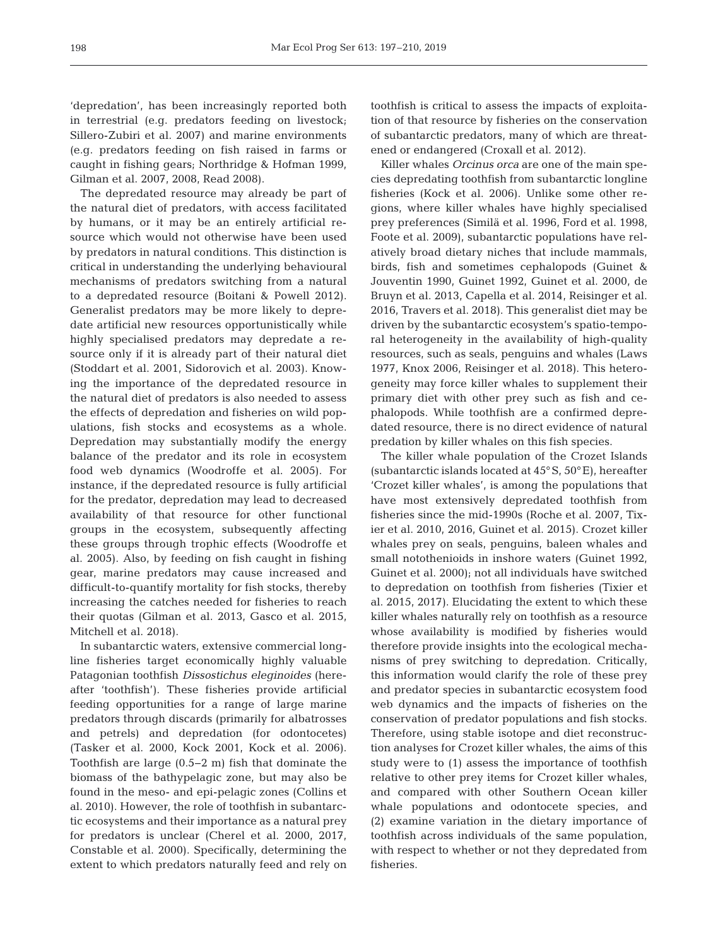'depredation', has been increasingly reported both in terrestrial (e.g. predators feeding on livestock; Sillero-Zubiri et al. 2007) and marine environments (e.g. predators feeding on fish raised in farms or caught in fishing gears; Northridge & Hofman 1999, Gilman et al. 2007, 2008, Read 2008).

The depredated resource may already be part of the natural diet of predators, with access facilitated by humans, or it may be an entirely artificial resource which would not otherwise have been used by predators in natural conditions. This distinction is critical in understanding the underlying behavioural mechanisms of predators switching from a natural to a depredated resource (Boitani & Powell 2012). Generalist predators may be more likely to depredate artificial new resources opportunistically while highly specialised predators may depredate a resource only if it is already part of their natural diet (Stoddart et al. 2001, Sidorovich et al. 2003). Knowing the importance of the depredated resource in the natural diet of predators is also needed to assess the effects of depredation and fisheries on wild populations, fish stocks and ecosystems as a whole. Depredation may substantially modify the energy balance of the predator and its role in ecosystem food web dynamics (Woodroffe et al. 2005). For instance, if the depredated resource is fully artificial for the predator, depredation may lead to decreased availability of that resource for other functional groups in the ecosystem, subsequently affecting these groups through trophic effects (Woodroffe et al. 2005). Also, by feeding on fish caught in fishing gear, marine predators may cause increased and difficult-to-quantify mortality for fish stocks, thereby increasing the catches needed for fisheries to reach their quotas (Gilman et al. 2013, Gasco et al. 2015, Mitchell et al. 2018).

In subantarctic waters, extensive commercial longline fisheries target economically highly valuable Patagonian toothfish *Dissostichus eleginoides* (hereafter 'toothfish'). These fisheries provide artificial feeding opportunities for a range of large marine predators through discards (primarily for albatrosses and petrels) and depredation (for odontocetes) (Tasker et al. 2000, Kock 2001, Kock et al. 2006). Toothfish are large (0.5−2 m) fish that dominate the biomass of the bathypelagic zone, but may also be found in the meso- and epi-pelagic zones (Collins et al. 2010). However, the role of toothfish in subantarctic ecosystems and their importance as a natural prey for predators is unclear (Cherel et al. 2000, 2017, Constable et al. 2000). Specifically, determining the extent to which predators naturally feed and rely on

toothfish is critical to assess the impacts of exploitation of that resource by fisheries on the conservation of subantarctic predators, many of which are threatened or endangered (Croxall et al. 2012).

Killer whales *Orcinus orca* are one of the main species depredating toothfish from subantarctic longline fisheries (Kock et al. 2006). Unlike some other regions, where killer whales have highly specialised prey preferences (Similä et al. 1996, Ford et al. 1998, Foote et al. 2009), subantarctic populations have relatively broad dietary niches that include mammals, birds, fish and sometimes cephalopods (Guinet & Jouventin 1990, Guinet 1992, Guinet et al. 2000, de Bruyn et al. 2013, Capella et al. 2014, Reisinger et al. 2016, Travers et al. 2018). This generalist diet may be driven by the subantarctic ecosystem's spatio-temporal heterogeneity in the availability of high-quality resources, such as seals, penguins and whales (Laws 1977, Knox 2006, Reisinger et al. 2018). This heterogeneity may force killer whales to supplement their primary diet with other prey such as fish and cephalopods. While toothfish are a confirmed depredated resource, there is no direct evidence of natural predation by killer whales on this fish species.

The killer whale population of the Crozet Islands (subantarctic islands located at 45°S, 50°E), hereafter 'Crozet killer whales', is among the populations that have most extensively depredated toothfish from fisheries since the mid-1990s (Roche et al. 2007, Tixier et al. 2010, 2016, Guinet et al. 2015). Crozet killer whales prey on seals, penguins, baleen whales and small notothenioids in inshore waters (Guinet 1992, Guinet et al. 2000); not all individuals have switched to depredation on toothfish from fisheries (Tixier et al. 2015, 2017). Elucidating the extent to which these killer whales naturally rely on toothfish as a resource whose availability is modified by fisheries would therefore provide insights into the ecological mechanisms of prey switching to depredation. Critically, this information would clarify the role of these prey and predator species in subantarctic ecosystem food web dynamics and the impacts of fisheries on the conservation of predator populations and fish stocks. Therefore, using stable isotope and diet reconstruction analyses for Crozet killer whales, the aims of this study were to (1) assess the importance of toothfish relative to other prey items for Crozet killer whales, and compared with other Southern Ocean killer whale populations and odontocete species, and (2) examine variation in the dietary importance of toothfish across individuals of the same population, with respect to whether or not they depredated from fisheries.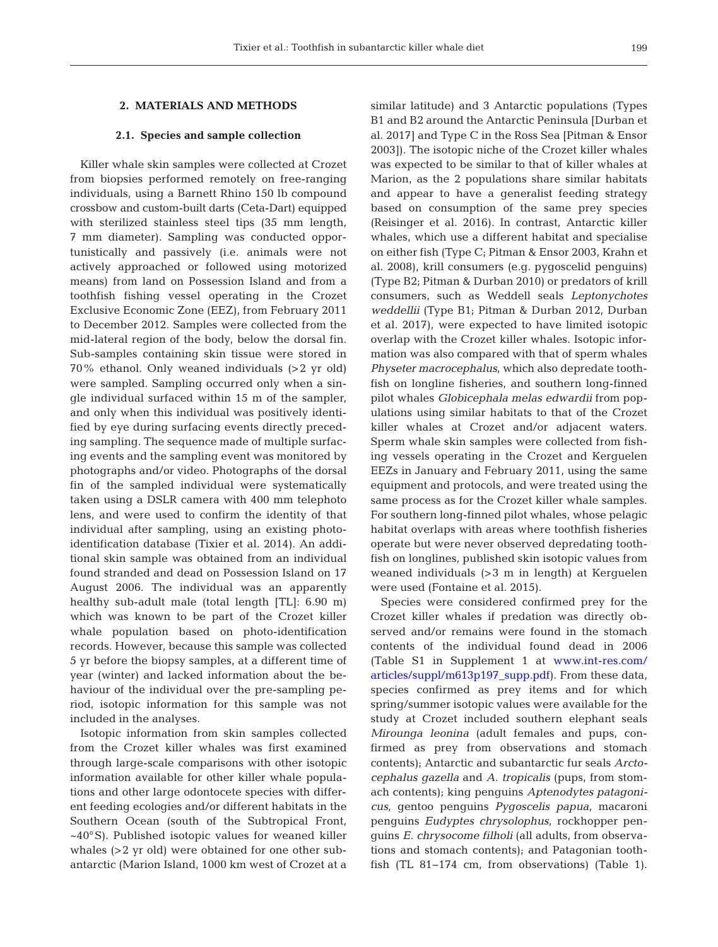# **2. MATERIALS AND METHODS**

# **2.1. Species and sample collection**

Killer whale skin samples were collected at Crozet from biopsies performed remotely on free-ranging individuals, using a Barnett Rhino 150 lb compound crossbow and custom-built darts (Ceta-Dart) equipped with sterilized stainless steel tips (35 mm length, 7 mm diameter). Sampling was conducted opportunistically and passively (i.e. animals were not actively approached or followed using motorized means) from land on Possession Island and from a toothfish fishing vessel operating in the Crozet Exclusive Economic Zone (EEZ), from February 2011 to December 2012. Samples were collected from the mid-lateral region of the body, below the dorsal fin. Sub-samples containing skin tissue were stored in 70% ethanol. Only weaned individuals (>2 yr old) were sampled. Sampling occurred only when a single individual surfaced within 15 m of the sampler, and only when this individual was positively identified by eye during surfacing events directly preceding sampling. The sequence made of multiple surfacing events and the sampling event was monitored by photographs and/or video. Photographs of the dorsal fin of the sampled individual were systematically taken using a DSLR camera with 400 mm telephoto lens, and were used to confirm the identity of that individual after sampling, using an existing photoidentification database (Tixier et al. 2014). An additional skin sample was obtained from an individual found stranded and dead on Possession Island on 17 August 2006. The individual was an apparently healthy sub-adult male (total length [TL]: 6.90 m) which was known to be part of the Crozet killer whale population based on photo-identification records. However, because this sample was collected 5 yr before the biopsy samples, at a different time of year (winter) and lacked information about the be haviour of the individual over the pre-sampling pe riod, isotopic information for this sample was not included in the analyses.

Isotopic information from skin samples collected from the Crozet killer whales was first examined through large-scale comparisons with other isotopic information available for other killer whale populations and other large odontocete species with different feeding ecologies and/or different habitats in the Southern Ocean (south of the Subtropical Front, ~40°S). Published isotopic values for weaned killer whales (>2 yr old) were obtained for one other subantarctic (Marion Island, 1000 km west of Crozet at a

similar latitude) and 3 Antarctic populations (Types B1 and B2 around the Antarctic Peninsula [Durban et al. 2017] and Type C in the Ross Sea [Pitman & Ensor 2003]). The isotopic niche of the Crozet killer whales was expected to be similar to that of killer whales at Marion, as the 2 populations share similar habitats and appear to have a generalist feeding strategy based on consumption of the same prey species (Reisinger et al. 2016). In contrast, Antarctic killer whales, which use a different habitat and specialise on either fish (Type C; Pitman & Ensor 2003, Krahn et al. 2008), krill consumers (e.g. pygoscelid penguins) (Type B2; Pitman & Durban 2010) or predators of krill consumers, such as Weddell seals *Leptonychotes weddellii* (Type B1; Pitman & Durban 2012, Durban et al. 2017), were expected to have limited isotopic overlap with the Crozet killer whales. Isotopic information was also compared with that of sperm whales Physeter macrocephalus, which also depredate toothfish on longline fisheries, and southern long-finned pilot whales *Globicephala melas edwardii* from populations using similar habitats to that of the Crozet killer whales at Crozet and/or adjacent waters. Sperm whale skin samples were collected from fishing vessels operating in the Crozet and Kerguelen EEZs in January and February 2011, using the same equipment and protocols, and were treated using the same process as for the Crozet killer whale samples. For southern long-finned pilot whales, whose pelagic habitat overlaps with areas where toothfish fisheries operate but were never observed depredating toothfish on longlines, published skin isotopic values from weaned individuals (>3 m in length) at Kerguelen were used (Fontaine et al. 2015).

Species were considered confirmed prey for the Crozet killer whales if predation was directly ob served and/or remains were found in the stomach contents of the individual found dead in 2006 (Table S1 in Supplement 1 at www.int-res.com/ articles/suppl/m613p197\_supp.pdf). From these data, species confirmed as prey items and for which spring/summer isotopic values were available for the study at Crozet included southern elephant seals *Mirounga leonina* (adult females and pups, confirmed as prey from observations and stomach contents); Antarctic and subantarctic fur seals *Arctocephalus gazella* and *A. tropicalis* (pups, from stomach contents); king penguins *Aptenodytes patagonicus*, gentoo penguins *Pygoscelis papua*, macaroni penguins *Eudyptes chrysolophus*, rockhopper penguins *E. chrysocome filholi* (all adults, from observations and stomach contents); and Patagonian toothfish (TL 81−174 cm, from observations) (Table 1).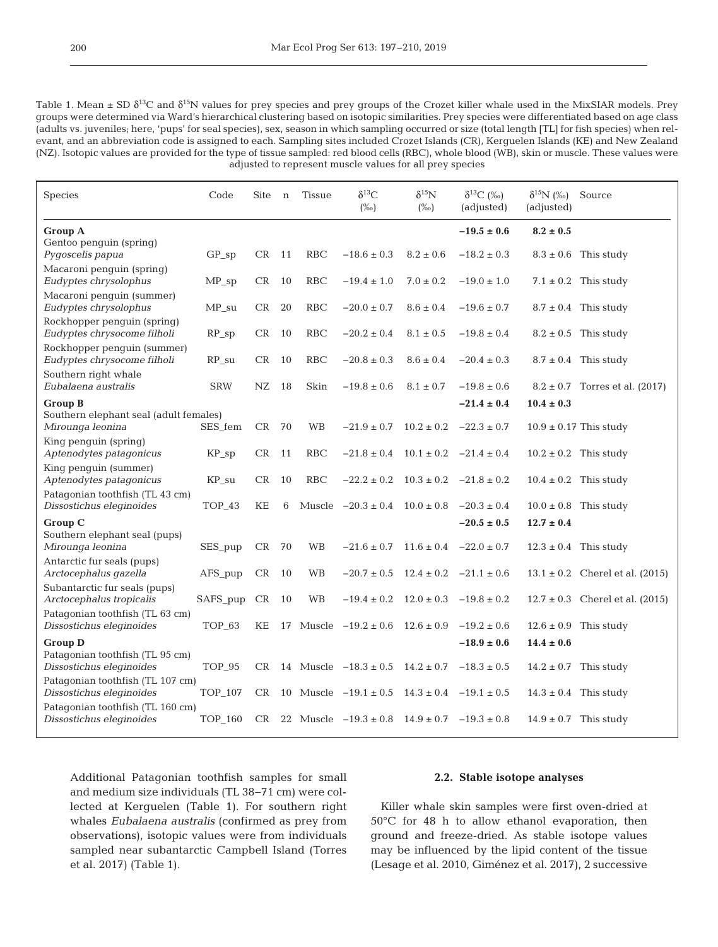Table 1. Mean ± SD δ<sup>13</sup>C and δ<sup>15</sup>N values for prey species and prey groups of the Crozet killer whale used in the MixSIAR models. Prey groups were determined via Ward's hierarchical clustering based on isotopic similarities. Prey species were differentiated based on age class (adults vs. juveniles; here, 'pups' for seal species), sex, season in which sampling occurred or size (total length [TL] for fish species) when relevant, and an abbreviation code is assigned to each. Sampling sites included Crozet Islands (CR), Kerguelen Islands (KE) and New Zealand (NZ). Isotopic values are provided for the type of tissue sampled: red blood cells (RBC), whole blood (WB), skin or muscle. These values were adjusted to represent muscle values for all prey species

| Species                                                      | Code           | Site          | n  | <b>Tissue</b> | $\delta^{13}C$<br>$(\%0)$ | $\delta^{15}$ N<br>$(\%o)$ | $\delta^{13}C$ (%)<br>(adjusted) | $\delta^{15}N$ (%)<br>(adjusted) | Source                              |
|--------------------------------------------------------------|----------------|---------------|----|---------------|---------------------------|----------------------------|----------------------------------|----------------------------------|-------------------------------------|
| <b>Group A</b>                                               |                |               |    |               |                           |                            | $-19.5 \pm 0.6$                  | $8.2 \pm 0.5$                    |                                     |
| Gentoo penguin (spring)<br>Pygoscelis papua                  | $GP_sp$        | CR            | 11 | RBC           | $-18.6 \pm 0.3$           | $8.2 \pm 0.6$              | $-18.2 \pm 0.3$                  |                                  | $8.3 \pm 0.6$ This study            |
| Macaroni penguin (spring)<br>Eudyptes chrysolophus           | $MP_sp$        | CR            | 10 | RBC           | $-19.4 \pm 1.0$           | $7.0 \pm 0.2$              | $-19.0\pm1.0$                    |                                  | $7.1 \pm 0.2$ This study            |
| Macaroni penguin (summer)<br>Eudyptes chrysolophus           | ${\rm MP\_su}$ | CR            | 20 | <b>RBC</b>    | $-20.0 \pm 0.7$           | $8.6 \pm 0.4$              | $-19.6 \pm 0.7$                  |                                  | $8.7 \pm 0.4$ This study            |
| Rockhopper penguin (spring)<br>Eudyptes chrysocome filholi   | $RP_sp$        | CR            | 10 | <b>RBC</b>    | $-20.2 \pm 0.4$           | $8.1 \pm 0.5$              | $-19.8 \pm 0.4$                  |                                  | $8.2 \pm 0.5$ This study            |
| Rockhopper penguin (summer)<br>Eudyptes chrysocome filholi   | $RP$ _su       | CR            | 10 | <b>RBC</b>    | $-20.8 \pm 0.3$           | $8.6 \pm 0.4$              | $-20.4 \pm 0.3$                  |                                  | $8.7 \pm 0.4$ This study            |
| Southern right whale<br>Eubalaena australis                  | <b>SRW</b>     | NZ            | 18 | Skin          | $-19.8 \pm 0.6$           | $8.1 \pm 0.7$              | $-19.8 \pm 0.6$                  |                                  | $8.2 \pm 0.7$ Torres et al. (2017)  |
| <b>Group B</b>                                               |                |               |    |               |                           |                            | $-21.4 \pm 0.4$                  | $10.4 \pm 0.3$                   |                                     |
| Southern elephant seal (adult females)<br>Mirounga leonina   | SES fem        | CR            | 70 | <b>WB</b>     | $-21.9 \pm 0.7$           | $10.2 \pm 0.2$             | $-22.3 \pm 0.7$                  |                                  | $10.9 \pm 0.17$ This study          |
| King penguin (spring)<br>Aptenodytes patagonicus             | $KP_sp$        | CR            | 11 | <b>RBC</b>    | $-21.8 \pm 0.4$           |                            | $10.1 \pm 0.2$ -21.4 $\pm 0.4$   |                                  | $10.2 \pm 0.2$ This study           |
| King penguin (summer)<br>Aptenodytes patagonicus             | KP_su          | CR            | 10 | <b>RBC</b>    | $-22.2 \pm 0.2$           |                            | $10.3 \pm 0.2$ $-21.8 \pm 0.2$   |                                  | $10.4 \pm 0.2$ This study           |
| Patagonian toothfish (TL 43 cm)<br>Dissostichus eleginoides  | <b>TOP_43</b>  | KΕ            | 6  |               | Muscle $-20.3 \pm 0.4$    | $10.0 \pm 0.8$             | $-20.3 \pm 0.4$                  |                                  | $10.0 \pm 0.8$ This study           |
| Group C                                                      |                |               |    |               |                           |                            | $-20.5 \pm 0.5$                  | $12.7 \pm 0.4$                   |                                     |
| Southern elephant seal (pups)<br>Mirounga leonina            | SES_pup        | CR            | 70 | <b>WB</b>     | $-21.6 \pm 0.7$           |                            | $11.6 \pm 0.4$ -22.0 $\pm$ 0.7   |                                  | $12.3 \pm 0.4$ This study           |
| Antarctic fur seals (pups)<br>Arctocephalus gazella          | AFS_pup        | CR            | 10 | WB            | $-20.7 \pm 0.5$           |                            | $12.4 \pm 0.2$ $-21.1 \pm 0.6$   |                                  | $13.1 \pm 0.2$ Cherel et al. (2015) |
| Subantarctic fur seals (pups)<br>Arctocephalus tropicalis    | SAFS_pup       | $\mathrm{CR}$ | 10 | <b>WB</b>     | $-19.4 \pm 0.2$           | $12.0 \pm 0.3$             | $-19.8 \pm 0.2$                  |                                  | $12.7 \pm 0.3$ Cherel et al. (2015) |
| Patagonian toothfish (TL 63 cm)<br>Dissostichus eleginoides  | TOP_63         | KΕ            | 17 |               | Muscle $-19.2 \pm 0.6$    | $12.6 \pm 0.9$             | $-19.2 \pm 0.6$                  | $12.6 \pm 0.9$                   | This study                          |
| <b>Group D</b><br>$-18.9 \pm 0.6$                            |                |               |    |               |                           |                            | $14.4 \pm 0.6$                   |                                  |                                     |
| Patagonian toothfish (TL 95 cm)<br>Dissostichus eleginoides  | TOP_95         | CR            |    |               | 14 Muscle $-18.3 \pm 0.5$ | $14.2 \pm 0.7$             | $-18.3 \pm 0.5$                  |                                  | $14.2 \pm 0.7$ This study           |
| Patagonian toothfish (TL 107 cm)<br>Dissostichus eleginoides | TOP_107        | CR            | 10 |               | Muscle $-19.1 \pm 0.5$    |                            | $14.3 \pm 0.4$ $-19.1 \pm 0.5$   |                                  | $14.3 \pm 0.4$ This study           |
| Patagonian toothfish (TL 160 cm)<br>Dissostichus eleginoides | <b>TOP_160</b> | CR            | 22 |               | Muscle $-19.3 \pm 0.8$    | $14.9 \pm 0.7$             | $-19.3 \pm 0.8$                  |                                  | $14.9 \pm 0.7$ This study           |

Additional Patagonian toothfish samples for small and medium size individuals (TL 38−71 cm) were collected at Kerguelen (Table 1). For southern right whales *Eubalaena australis* (confirmed as prey from observations), isotopic values were from individuals sampled near subantarctic Campbell Island (Torres et al. 2017) (Table 1).

# **2.2. Stable isotope analyses**

Killer whale skin samples were first oven-dried at 50°C for 48 h to allow ethanol evaporation, then ground and freeze-dried. As stable isotope values may be influenced by the lipid content of the tissue (Lesage et al. 2010, Giménez et al. 2017), 2 successive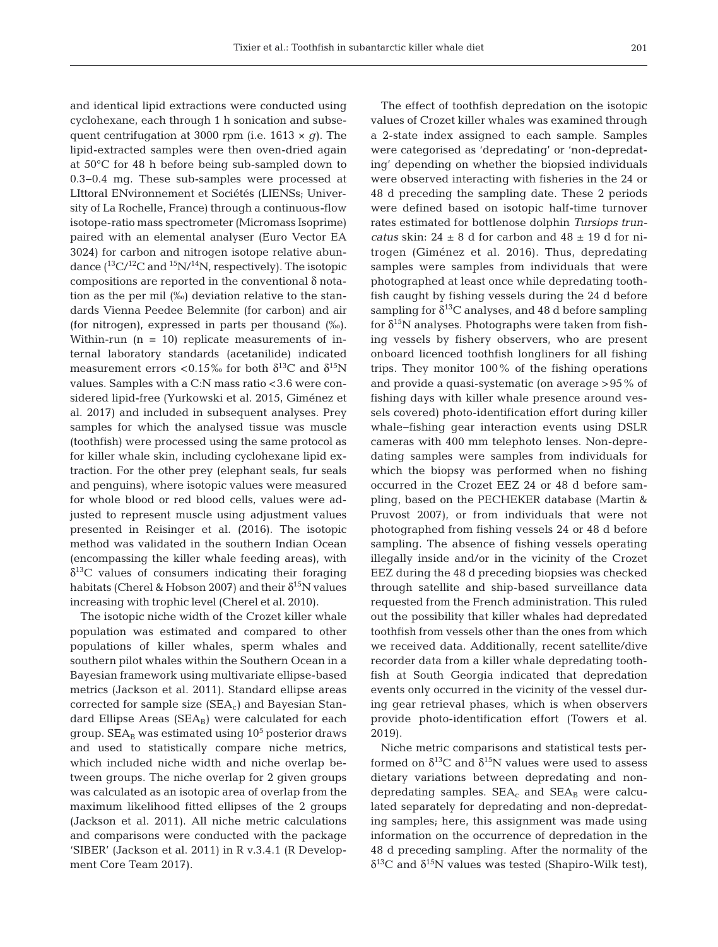and identical lipid extractions were conducted using cyclohexane, each through 1 h sonication and subsequent centrifugation at 3000 rpm (i.e. 1613 × *g*). The lipid-extracted samples were then oven-dried again at 50°C for 48 h before being sub-sampled down to 0.3−0.4 mg. These sub-samples were processed at LIttoral ENvironnement et Sociétés (LIENSs; University of La Rochelle, France) through a continuous-flow isotope-ratio mass spectrometer (Micromass Isoprime) paired with an elemental analyser (Euro Vector EA 3024) for carbon and nitrogen isotope relative abundance  $(^{13}C/^{12}C$  and  $^{15}N/^{14}N$ , respectively). The isotopic compositions are reported in the conventional δ notation as the per mil (‰) deviation relative to the standards Vienna Peedee Belemnite (for carbon) and air (for nitrogen), expressed in parts per thousand (‰). Within-run  $(n = 10)$  replicate measurements of internal laboratory standards (acetanilide) indicated measurement errors <0.15‰ for both  $\delta^{13}C$  and  $\delta^{15}N$ values. Samples with a C:N mass ratio <3.6 were considered lipid-free (Yurkowski et al. 2015, Giménez et al. 2017) and included in subsequent analyses. Prey samples for which the analysed tissue was muscle (toothfish) were processed using the same protocol as for killer whale skin, including cyclohexane lipid extraction. For the other prey (elephant seals, fur seals and penguins), where isotopic values were measured for whole blood or red blood cells, values were adjusted to represent muscle using adjustment values presented in Reisinger et al. (2016). The isotopic method was validated in the southern Indian Ocean (encompassing the killer whale feeding areas), with  $\delta^{13}$ C values of consumers indicating their foraging habitats (Cherel & Hobson 2007) and their  $\delta^{15}N$  values increasing with trophic level (Cherel et al. 2010).

The isotopic niche width of the Crozet killer whale population was estimated and compared to other populations of killer whales, sperm whales and southern pilot whales within the Southern Ocean in a Bayesian framework using multivariate ellipse-based metrics (Jackson et al. 2011). Standard ellipse areas corrected for sample size (SEA<sub>c</sub>) and Bayesian Standard Ellipse Areas ( $SEA_B$ ) were calculated for each group.  $SEA_B$  was estimated using  $10^5$  posterior draws and used to statistically compare niche metrics, which included niche width and niche overlap be tween groups. The niche overlap for 2 given groups was calculated as an isotopic area of overlap from the maximum likelihood fitted ellipses of the 2 groups (Jackson et al. 2011). All niche metric calculations and comparisons were conducted with the package 'SIBER' (Jackson et al. 2011) in R v.3.4.1 (R Development Core Team 2017).

The effect of toothfish depredation on the isotopic values of Crozet killer whales was examined through a 2-state index assigned to each sample. Samples were categorised as 'depredating' or 'non-depredating' depending on whether the biopsied individuals were observed interacting with fisheries in the 24 or 48 d preceding the sampling date. These 2 periods were defined based on isotopic half-time turnover rates estimated for bottlenose dolphin *Tursiops truncatus* skin:  $24 \pm 8$  d for carbon and  $48 \pm 19$  d for nitrogen (Giménez et al. 2016). Thus, depredating samples were samples from individuals that were photographed at least once while depredating toothfish caught by fishing vessels during the 24 d before sampling for  $\delta^{13}$ C analyses, and 48 d before sampling for  $\delta^{15}N$  analyses. Photographs were taken from fishing vessels by fishery observers, who are present onboard licenced toothfish longliners for all fishing trips. They monitor 100% of the fishing operations and provide a quasi-systematic (on average >95% of fishing days with killer whale presence around vessels covered) photo-identification effort during killer whale−fishing gear interaction events using DSLR cameras with 400 mm telephoto lenses. Non-depredating samples were samples from individuals for which the biopsy was performed when no fishing occurred in the Crozet EEZ 24 or 48 d before sampling, based on the PECHEKER database (Martin & Pruvost 2007), or from individuals that were not photo graphed from fishing vessels 24 or 48 d before sampling. The absence of fishing vessels operating illegally inside and/or in the vicinity of the Crozet EEZ during the 48 d preceding biopsies was checked through satellite and ship-based surveillance data requested from the French administration. This ruled out the possibility that killer whales had depredated toothfish from vessels other than the ones from which we received data. Additionally, recent satellite/dive recorder data from a killer whale depredating toothfish at South Georgia indicated that depredation events only occurred in the vicinity of the vessel during gear retrieval phases, which is when observers provide photo-identification effort (Towers et al. 2019).

Niche metric comparisons and statistical tests performed on  $\delta^{13}$ C and  $\delta^{15}$ N values were used to assess dietary variations between depredating and nondepredating samples.  $SEA_c$  and  $SEA_B$  were calculated separately for depredating and non-depredating samples; here, this assignment was made using information on the occurrence of depredation in the 48 d preceding sampling. After the normality of the  $\delta^{13}$ C and  $\delta^{15}$ N values was tested (Shapiro-Wilk test),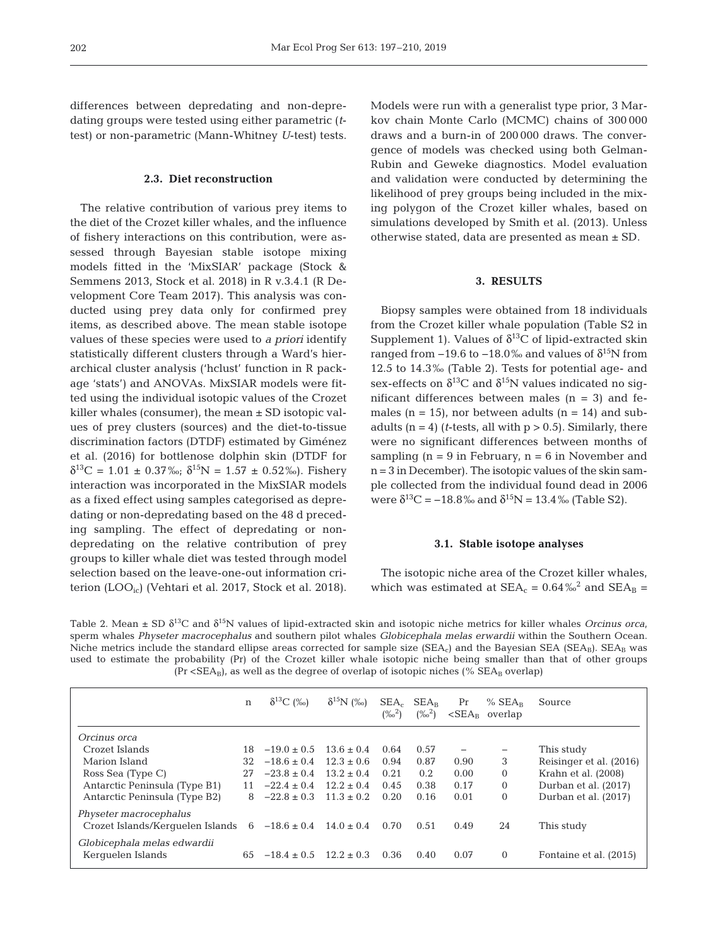differences between depredating and non-depredating groups were tested using either parametric (*t*test) or non-parametric (Mann-Whitney *U*-test) tests.

#### **2.3. Diet reconstruction**

The relative contribution of various prey items to the diet of the Crozet killer whales, and the influence of fishery interactions on this contribution, were as sessed through Bayesian stable isotope mixing models fitted in the 'MixSIAR' package (Stock & Semmens 2013, Stock et al. 2018) in R v.3.4.1 (R Development Core Team 2017). This analysis was conducted using prey data only for confirmed prey items, as described above. The mean stable isotope values of these species were used to *a priori* identify statistically different clusters through a Ward's hierarchical cluster analysis ('hclust' function in R package 'stats') and ANOVAs. MixSIAR models were fitted using the individual isotopic values of the Crozet killer whales (consumer), the mean  $\pm$  SD isotopic values of prey clusters (sources) and the diet-to-tissue discrimination factors (DTDF) estimated by Giménez et al. (2016) for bottlenose dolphin skin (DTDF for  $\delta^{13}C = 1.01 \pm 0.37\%$ ;  $\delta^{15}N = 1.57 \pm 0.52\%$ ). Fishery interaction was incorporated in the MixSIAR models as a fixed effect using samples categorised as depredating or non-depredating based on the 48 d preceding sampling. The effect of depredating or nondepredating on the relative contribution of prey groups to killer whale diet was tested through model selection based on the leave-one-out information criterion (LOO<sub>ic</sub>) (Vehtari et al. 2017, Stock et al. 2018). Models were run with a generalist type prior, 3 Markov chain Monte Carlo (MCMC) chains of 300 000 draws and a burn-in of 200 000 draws. The convergence of models was checked using both Gelman-Rubin and Geweke diagnostics. Model evaluation and validation were conducted by determining the likelihood of prey groups being included in the mixing polygon of the Crozet killer whales, based on simulations developed by Smith et al. (2013). Unless otherwise stated, data are presented as mean ± SD.

# **3. RESULTS**

Biopsy samples were obtained from 18 individuals from the Crozet killer whale population (Table S2 in Supplement 1). Values of  $\delta^{13}$ C of lipid-extracted skin ranged from  $-19.6$  to  $-18.0$ ‰ and values of  $\delta^{15}N$  from 12.5 to 14.3‰ (Table 2). Tests for potential age- and sex-effects on  $\delta^{13}$ C and  $\delta^{15}$ N values indicated no significant differences between males  $(n = 3)$  and females ( $n = 15$ ), nor between adults ( $n = 14$ ) and subadults  $(n = 4)$  (*t*-tests, all with  $p > 0.5$ ). Similarly, there were no significant differences between months of sampling  $(n = 9$  in February,  $n = 6$  in November and n = 3 in December). The isotopic values of the skin sample collected from the individual found dead in 2006 were  $\delta^{13}C = -18.8\%$  and  $\delta^{15}N = 13.4\%$  (Table S2).

#### **3.1. Stable isotope analyses**

The isotopic niche area of the Crozet killer whales, which was estimated at  $SEA_c = 0.64\%^2$  and  $SEA_B =$ 

Table 2. Mean  $\pm$  SD  $\delta^{13}$ C and  $\delta^{15}$ N values of lipid-extracted skin and isotopic niche metrics for killer whales *Orcinus orca*, sperm whales *Physeter macrocephalus* and southern pilot whales *Globicephala melas erwardii* within the Southern Ocean. Niche metrics include the standard ellipse areas corrected for sample size (SEA<sub>c</sub>) and the Bayesian SEA (SEA<sub>B</sub>). SEA<sub>B</sub> was used to estimate the probability (Pr) of the Crozet killer whale isotopic niche being smaller than that of other groups  $(Pr < SEA_B)$ , as well as the degree of overlap of isotopic niches (%  $SEA_B$  overlap)

|                                                            | $\mathbf n$ | $\delta^{13}C$ (%) | $\delta^{15}N$ (%) | $SEA_c$<br>$(\%^2)$ | $SEA_R$<br>$(\%^2)$ | Pr   | $%$ SEA <sub>R</sub><br>$\langle$ SEA <sub>R</sub> overlap | Source                  |
|------------------------------------------------------------|-------------|--------------------|--------------------|---------------------|---------------------|------|------------------------------------------------------------|-------------------------|
| Orcinus orca                                               |             |                    |                    |                     |                     |      |                                                            |                         |
| Crozet Islands                                             | 18.         | $-19.0 + 0.5$      | $13.6 + 0.4$       | 0.64                | 0.57                |      | $\overline{\phantom{m}}$                                   | This study              |
| Marion Island                                              | 32          | $-18.6 \pm 0.4$    | $12.3 \pm 0.6$     | 0.94                | 0.87                | 0.90 | 3                                                          | Reisinger et al. (2016) |
| Ross Sea (Type C)                                          | 27          | $-23.8 \pm 0.4$    | $13.2 \pm 0.4$     | 0.21                | 0.2                 | 0.00 | $\Omega$                                                   | Krahn et al. (2008)     |
| Antarctic Peninsula (Type B1)                              | 11          | $-22.4 \pm 0.4$    | $12.2 \pm 0.4$     | 0.45                | 0.38                | 0.17 | $\Omega$                                                   | Durban et al. (2017)    |
| Antarctic Peninsula (Type B2)                              | 8           | $-22.8 \pm 0.3$    | $11.3 \pm 0.2$     | 0.20                | 0.16                | 0.01 | $\mathbf{0}$                                               | Durban et al. (2017)    |
| Physeter macrocephalus<br>Crozet Islands/Kerquelen Islands | 6           | $-18.6 \pm 0.4$    | $14.0 \pm 0.4$     | 0.70                | 0.51                | 0.49 | 24                                                         | This study              |
| Globicephala melas edwardii<br>Kerquelen Islands           | 65          | $-18.4 \pm 0.5$    | $12.2 \pm 0.3$     | 0.36                | 0.40                | 0.07 | $\Omega$                                                   | Fontaine et al. (2015)  |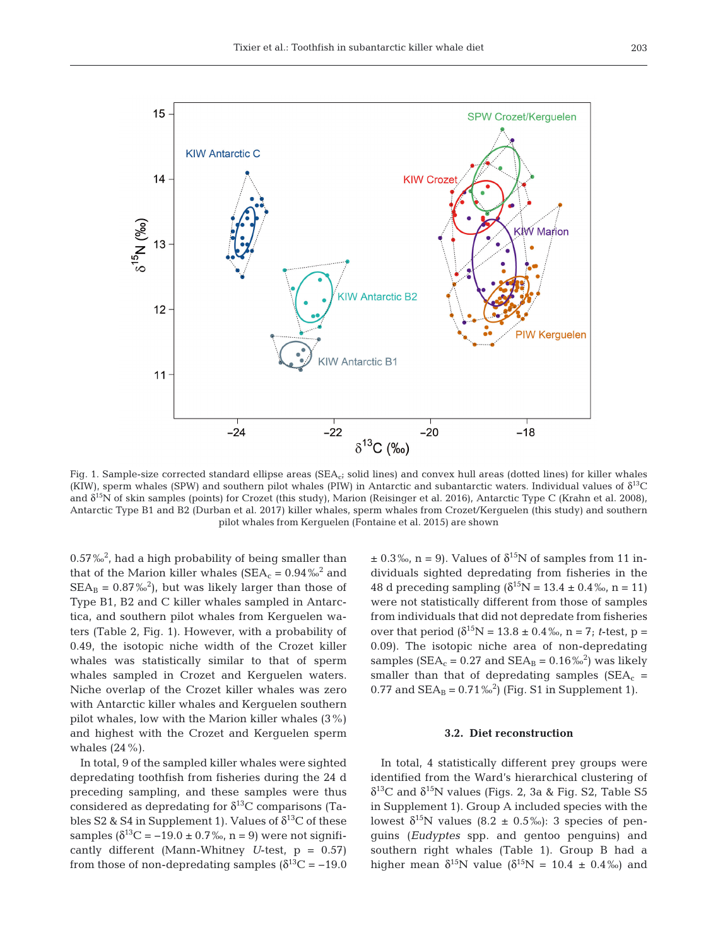

Fig. 1. Sample-size corrected standard ellipse areas (SEA<sub>c</sub>; solid lines) and convex hull areas (dotted lines) for killer whales (KIW), sperm whales (SPW) and southern pilot whales (PIW) in Antarctic and subantarctic waters. Individual values of  $\delta^{13}C$ and δ15N of skin samples (points) for Crozet (this study), Marion (Reisinger et al. 2016), Antarctic Type C (Krahn et al. 2008), Antarctic Type B1 and B2 (Durban et al. 2017) killer whales, sperm whales from Crozet/Kerguelen (this study) and southern pilot whales from Kerguelen (Fontaine et al. 2015) are shown

0.57‰2 , had a high probability of being smaller than that of the Marion killer whales ( $SEA_c = 0.94\%^2$  and  $\text{SEA}_{\text{B}} = 0.87\,\text{\textdegree}^2$ , but was likely larger than those of Type B1, B2 and C killer whales sampled in Antarctica, and southern pilot whales from Kerguelen waters (Table 2, Fig. 1). However, with a probability of 0.49, the isotopic niche width of the Crozet killer whales was statistically similar to that of sperm whales sampled in Crozet and Kerguelen waters. Niche overlap of the Crozet killer whales was zero with Antarctic killer whales and Kerguelen southern pilot whales, low with the Marion killer whales (3%) and highest with the Crozet and Kerguelen sperm whales  $(24\%)$ .

In total, 9 of the sampled killer whales were sighted depredating toothfish from fisheries during the 24 d preceding sampling, and these samples were thus considered as depredating for  $\delta^{13}$ C comparisons (Tables S2 & S4 in Supplement 1). Values of  $\delta^{13}C$  of these samples  $(\delta^{13}C = -19.0 \pm 0.7\%$ , n = 9) were not significantly different (Mann-Whitney *U*-test, p = 0.57) from those of non-depredating samples ( $\delta^{13}$ C = -19.0  $\pm$  0.3‰, n = 9). Values of  $\delta^{15}N$  of samples from 11 individuals sighted depredating from fisheries in the 48 d preceding sampling  $(\delta^{15}N = 13.4 \pm 0.4\%$ , n = 11) were not statistically different from those of samples from individuals that did not depredate from fisheries over that period  $(\delta^{15}N = 13.8 \pm 0.4\%$ , n = 7; *t*-test, p = 0.09). The isotopic niche area of non-depredating samples ( $\text{SEA}_{\text{c}} = 0.27$  and  $\text{SEA}_{\text{B}} = 0.16\%^2$ ) was likely smaller than that of depredating samples  $(SEA<sub>c</sub> =$ 0.77 and  $SEA_B = 0.71\%^2$  (Fig. S1 in Supplement 1).

#### **3.2. Diet reconstruction**

In total, 4 statistically different prey groups were identified from the Ward's hierarchical clustering of δ<sup>13</sup>C and δ<sup>15</sup>N values (Figs. 2, 3a & Fig. S2, Table S5 in Supplement 1). Group A included species with the lowest  $\delta^{15}N$  values (8.2 ± 0.5‰): 3 species of penguins (*Eudyptes* spp. and gentoo penguins) and southern right whales (Table 1). Group B had a higher mean  $\delta^{15}N$  value  $(\delta^{15}N = 10.4 \pm 0.4\%)$  and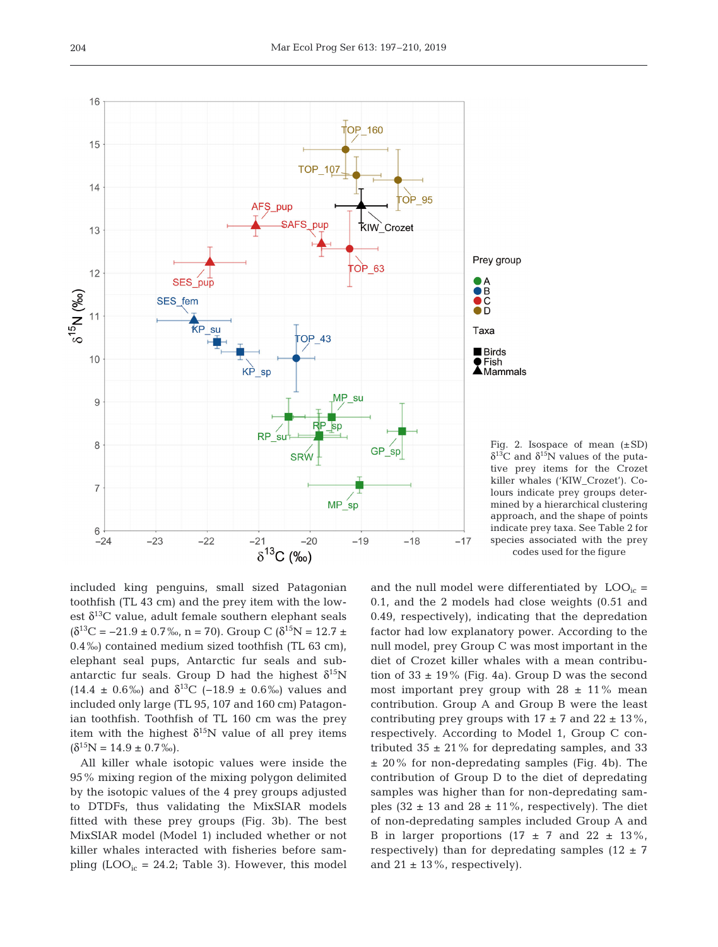

Fig. 2. Isospace of mean  $(\pm SD)$ δ<sup>13</sup>C and δ<sup>15</sup>N values of the putative prey items for the Crozet killer whales ('KIW\_Crozet'). Colours indicate prey groups determined by a hierarchical clustering approach, and the shape of points indicate prey taxa. See Table 2 for species associated with the prey codes used for the figure

included king penguins, small sized Patagonian toothfish (TL 43 cm) and the prey item with the lowest  $\delta^{13}$ C value, adult female southern elephant seals  $(\delta^{13}C = -21.9 \pm 0.7\%$ , n = 70). Group C  $(\delta^{15}N = 12.7 \pm 0.7\%$ 0.4‰) contained medium sized toothfish (TL 63 cm), elephant seal pups, Antarctic fur seals and subantarctic fur seals. Group D had the highest  $\delta^{15}N$  $(14.4 \pm 0.6\%)$  and  $δ^{13}C$  (−18.9 ± 0.6‰) values and included only large (TL 95, 107 and 160 cm) Patagonian toothfish. Toothfish of TL 160 cm was the prey item with the highest  $\delta^{15}N$  value of all prey items  $(\delta^{15}N = 14.9 \pm 0.7\%)$ .

All killer whale isotopic values were inside the 95% mixing region of the mixing polygon delimited by the isotopic values of the 4 prey groups adjusted to DTDFs, thus validating the MixSIAR models fitted with these prey groups (Fig. 3b). The best MixSIAR model (Model 1) included whether or not killer whales interacted with fisheries before sampling  $(LOO<sub>ic</sub> = 24.2; Table 3)$ . However, this model and the null model were differentiated by  $LOO<sub>ic</sub>$  = 0.1, and the 2 models had close weights (0.51 and  $0.49$ , respectively), indicating that the depredation factor had low explanatory power. According to the null model, prey Group C was most important in the diet of Crozet killer whales with a mean contribution of  $33 \pm 19\%$  (Fig. 4a). Group D was the second most important prey group with  $28 \pm 11\%$  mean contribution. Group A and Group B were the least contributing prey groups with  $17 \pm 7$  and  $22 \pm 13$ %, respectively. According to Model 1, Group C contributed  $35 \pm 21\%$  for depredating samples, and 33  $\pm$  20% for non-depredating samples (Fig. 4b). The contribution of Group D to the diet of depredating samples was higher than for non-depredating samples (32  $\pm$  13 and 28  $\pm$  11%, respectively). The diet of non-depredating samples included Group A and B in larger proportions  $(17 \pm 7 \text{ and } 22 \pm 13\%$ , respectively) than for depredating samples  $(12 \pm 7)$ and  $21 \pm 13\%$ , respectively).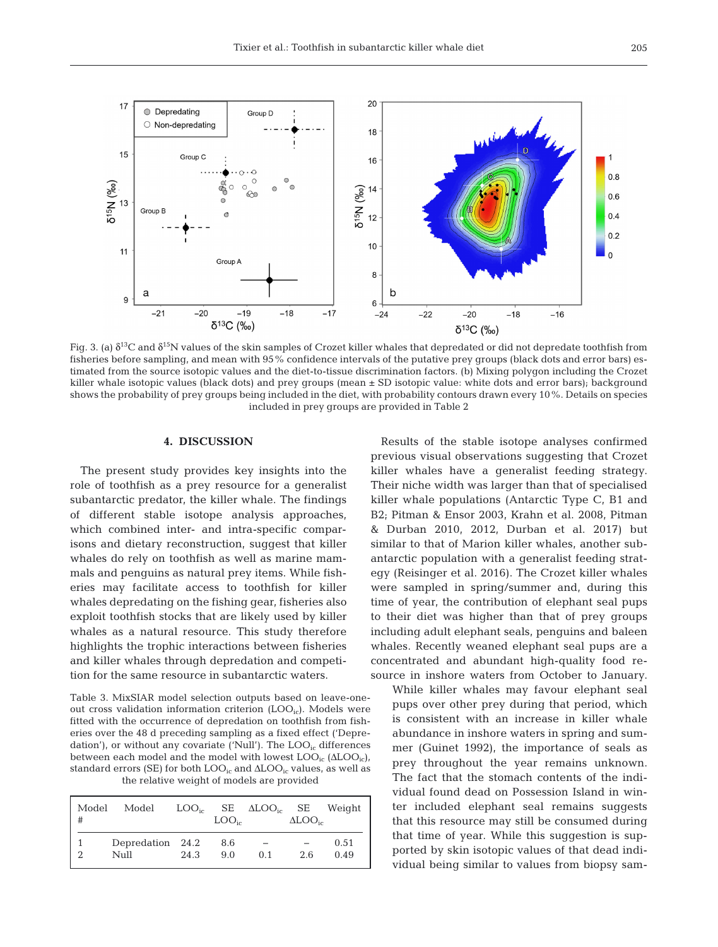

Fig. 3. (a)  $δ<sup>13</sup>C$  and  $δ<sup>15</sup>N$  values of the skin samples of Crozet killer whales that depredated or did not depredate toothfish from fisheries before sampling, and mean with 95% confidence intervals of the putative prey groups (black dots and error bars) estimated from the source isotopic values and the diet-to-tissue discrimination factors. (b) Mixing polygon including the Crozet killer whale isotopic values (black dots) and prey groups (mean  $\pm$  SD isotopic value: white dots and error bars); background shows the probability of prey groups being included in the diet, with probability contours drawn every 10%. Details on species included in prey groups are provided in Table 2

#### **4. DISCUSSION**

The present study provides key insights into the role of toothfish as a prey resource for a generalist subantarctic predator, the killer whale. The findings of different stable isotope analysis approaches, which combined inter- and intra-specific comparisons and dietary reconstruction, suggest that killer whales do rely on toothfish as well as marine mammals and penguins as natural prey items. While fisheries may facilitate access to toothfish for killer whales depredating on the fishing gear, fisheries also exploit toothfish stocks that are likely used by killer whales as a natural resource. This study therefore highlights the trophic interactions between fisheries and killer whales through depredation and competition for the same resource in subantarctic waters.

Table 3. MixSIAR model selection outputs based on leave-oneout cross validation information criterion  $(LOO<sub>ic</sub>)$ . Models were fitted with the occurrence of depredation on toothfish from fisheries over the 48 d preceding sampling as a fixed effect ('Depredation'), or without any covariate ('Null'). The  $LOO<sub>io</sub>$  differences between each model and the model with lowest  $\text{LOO}_{\text{ic}}(\Delta\text{LOO}_{\text{ic}})$ , standard errors (SE) for both  $\text{LOO}_{\text{ic}}$  and  $\Delta\text{LOO}_{\text{ic}}$  values, as well as the relative weight of models are provided

| Model<br># | Model                    |      | $\text{LOO}_{i_{\alpha}}$ | $\text{LOO}_{i\text{c}}$ SE $\Delta\text{LOO}_{i\text{c}}$ SE Weight | $\Delta\text{LOO}_{\text{ic}}$ |              |
|------------|--------------------------|------|---------------------------|----------------------------------------------------------------------|--------------------------------|--------------|
| C          | Depredation 24.2<br>Null | 24.3 | 8.6<br>9.0                | 0.1                                                                  | 2.6                            | 0.51<br>0.49 |

Results of the stable isotope analyses confirmed previous visual observations suggesting that Crozet killer whales have a generalist feeding strategy. Their niche width was larger than that of specialised killer whale populations (Antarctic Type C, B1 and B2; Pitman & Ensor 2003, Krahn et al. 2008, Pitman & Durban 2010, 2012, Durban et al. 2017) but similar to that of Marion killer whales, another subantarctic population with a generalist feeding strategy (Reisinger et al. 2016). The Crozet killer whales were sampled in spring/summer and, during this time of year, the contribution of elephant seal pups to their diet was higher than that of prey groups including adult elephant seals, penguins and baleen whales. Recently weaned elephant seal pups are a concentrated and abundant high-quality food resource in inshore waters from October to January.

While killer whales may favour elephant seal pups over other prey during that period, which is consistent with an increase in killer whale abundance in inshore waters in spring and summer (Guinet 1992), the importance of seals as prey throughout the year remains unknown. The fact that the stomach contents of the individual found dead on Possession Island in winter included elephant seal remains suggests that this resource may still be consumed during that time of year. While this suggestion is supported by skin isotopic values of that dead individual being similar to values from biopsy sam-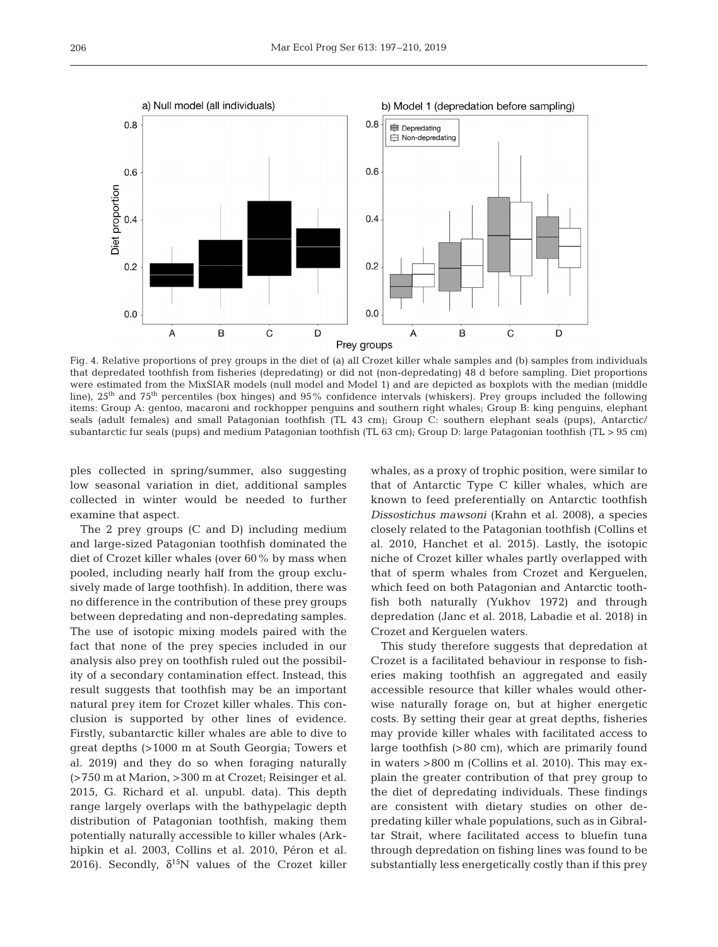

Fig. 4. Relative proportions of prey groups in the diet of (a) all Crozet killer whale samples and (b) samples from individuals that depredated toothfish from fisheries (depredating) or did not (non-depredating) 48 d before sampling. Diet proportions were estimated from the MixSIAR models (null model and Model 1) and are depicted as boxplots with the median (middle line),  $25<sup>th</sup>$  and  $75<sup>th</sup>$  percentiles (box hinges) and  $95\%$  confidence intervals (whiskers). Prey groups included the following items: Group A: gentoo, macaroni and rockhopper penguins and southern right whales; Group B: king penguins, elephant seals (adult females) and small Patagonian toothfish (TL 43 cm); Group C: southern elephant seals (pups), Antarctic/ subantarctic fur seals (pups) and medium Patagonian toothfish (TL 63 cm); Group D: large Patagonian toothfish (TL > 95 cm)

ples collected in spring/summer, also suggesting low seasonal variation in diet, additional samples collected in winter would be needed to further examine that aspect.

The 2 prey groups (C and D) including medium and large-sized Patagonian toothfish dominated the diet of Crozet killer whales (over 60% by mass when pooled, including nearly half from the group exclusively made of large toothfish). In addition, there was no difference in the contribution of these prey groups between depredating and non-depredating samples. The use of isotopic mixing models paired with the fact that none of the prey species included in our analysis also prey on toothfish ruled out the possibility of a secondary contamination effect. Instead, this result suggests that toothfish may be an important natural prey item for Crozet killer whales. This conclusion is supported by other lines of evidence. Firstly, subantarctic killer whales are able to dive to great depths (>1000 m at South Georgia; Towers et al. 2019) and they do so when foraging naturally (>750 m at Marion, >300 m at Crozet; Reisinger et al. 2015, G. Richard et al. unpubl. data). This depth range largely overlaps with the bathypelagic depth distribution of Patagonian toothfish, making them potentially naturally accessible to killer whales (Ark hipkin et al. 2003, Collins et al. 2010, Péron et al. 2016). Secondly,  $\delta^{15}$ N values of the Crozet killer

whales, as a proxy of trophic position, were similar to that of Antarctic Type C killer whales, which are known to feed preferentially on Antarctic toothfish *Dissostichus mawsoni* (Krahn et al. 2008), a species closely related to the Patagonian toothfish (Collins et al. 2010, Hanchet et al. 2015). Lastly, the isotopic niche of Crozet killer whales partly overlapped with that of sperm whales from Crozet and Kerguelen, which feed on both Patagonian and Antarctic toothfish both naturally (Yukhov 1972) and through depredation (Janc et al. 2018, Labadie et al. 2018) in Crozet and Kerguelen waters.

This study therefore suggests that depredation at Crozet is a facilitated behaviour in response to fisheries making toothfish an aggregated and easily accessible resource that killer whales would otherwise naturally forage on, but at higher energetic costs. By setting their gear at great depths, fisheries may provide killer whales with facilitated access to large toothfish (>80 cm), which are primarily found in waters  $>800$  m (Collins et al. 2010). This may explain the greater contribution of that prey group to the diet of depredating individuals. These findings are consistent with dietary studies on other depredating killer whale populations, such as in Gibraltar Strait, where facilitated access to bluefin tuna through depredation on fishing lines was found to be substantially less energetically costly than if this prey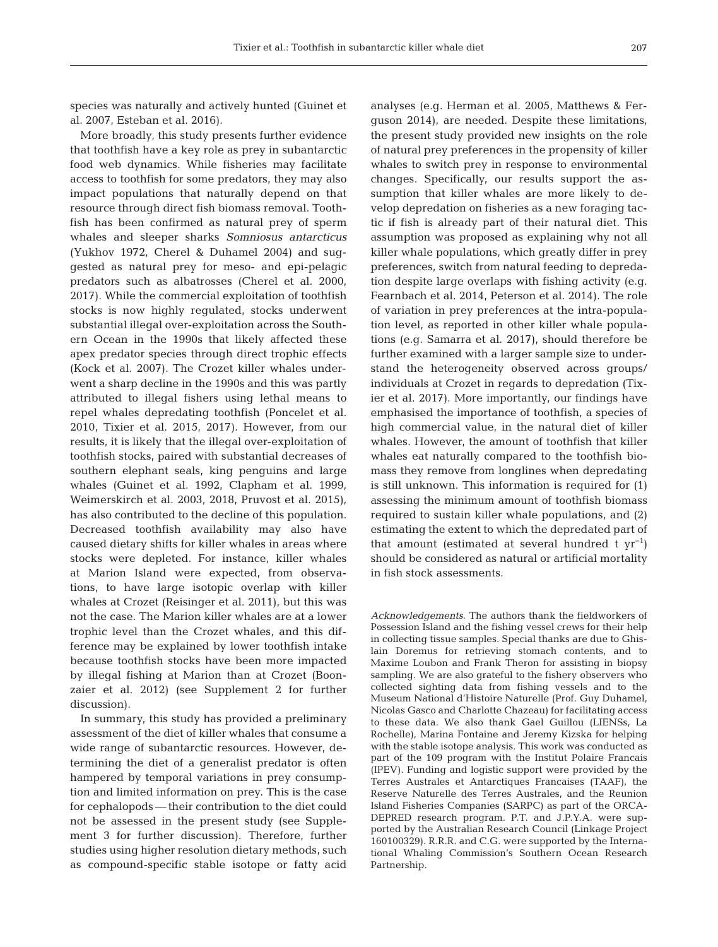species was naturally and actively hunted (Guinet et al. 2007, Esteban et al. 2016).

More broadly, this study presents further evidence that toothfish have a key role as prey in subantarctic food web dynamics. While fisheries may facilitate access to toothfish for some predators, they may also impact populations that naturally depend on that resource through direct fish biomass removal. Toothfish has been confirmed as natural prey of sperm whales and sleeper sharks *Somniosus antarcticus* (Yukhov 1972, Cherel & Duhamel 2004) and suggested as natural prey for meso- and epi-pelagic predators such as albatrosses (Cherel et al. 2000, 2017). While the commercial exploitation of toothfish stocks is now highly regulated, stocks underwent substantial illegal over-exploitation across the Southern Ocean in the 1990s that likely affected these apex predator species through direct trophic effects (Kock et al. 2007). The Crozet killer whales underwent a sharp decline in the 1990s and this was partly attributed to illegal fishers using lethal means to repel whales depredating toothfish (Poncelet et al. 2010, Tixier et al. 2015, 2017). However, from our results, it is likely that the illegal over-exploitation of toothfish stocks, paired with substantial decreases of southern elephant seals, king penguins and large whales (Guinet et al. 1992, Clapham et al. 1999, Weimerskirch et al. 2003, 2018, Pruvost et al. 2015), has also contributed to the decline of this population. Decreased toothfish availability may also have caused dietary shifts for killer whales in areas where stocks were depleted. For instance, killer whales at Marion Island were expected, from observations, to have large isotopic overlap with killer whales at Crozet (Reisinger et al. 2011), but this was not the case. The Marion killer whales are at a lower trophic level than the Crozet whales, and this dif ference may be explained by lower toothfish intake because toothfish stocks have been more impacted by illegal fishing at Marion than at Crozet (Boonzaier et al. 2012) (see Supplement 2 for further discussion).

In summary, this study has provided a preliminary assessment of the diet of killer whales that consume a wide range of subantarctic resources. However, determining the diet of a generalist predator is often hampered by temporal variations in prey consumption and limited information on prey. This is the case for cephalopods — their contribution to the diet could not be assessed in the present study (see Supplement 3 for further discussion). Therefore, further studies using higher resolution dietary methods, such as compound-specific stable isotope or fatty acid analyses (e.g. Herman et al. 2005, Matthews & Ferguson 2014), are needed. Despite these limitations, the present study provided new insights on the role of natural prey preferences in the propensity of killer whales to switch prey in response to environmental changes. Specifically, our results support the assumption that killer whales are more likely to develop depredation on fisheries as a new foraging tactic if fish is already part of their natural diet. This assumption was proposed as explaining why not all killer whale populations, which greatly differ in prey preferences, switch from natural feeding to depredation despite large overlaps with fishing activity (e.g. Fearnbach et al. 2014, Peterson et al. 2014). The role of variation in prey preferences at the intra-population level, as reported in other killer whale populations (e.g. Samarra et al. 2017), should therefore be further examined with a larger sample size to understand the heterogeneity observed across groups/ individuals at Crozet in regards to depredation (Tixier et al. 2017). More importantly, our findings have emphasised the importance of toothfish, a species of high commercial value, in the natural diet of killer whales. However, the amount of toothfish that killer whales eat naturally compared to the toothfish biomass they remove from longlines when depredating is still unknown. This information is required for (1) assessing the minimum amount of toothfish biomass required to sustain killer whale populations, and (2) estimating the extent to which the depredated part of that amount (estimated at several hundred t  $yr^{-1}$ ) should be considered as natural or artificial mortality in fish stock assessments.

*Acknowledgements*. The authors thank the fieldworkers of Possession Island and the fishing vessel crews for their help in collecting tissue samples. Special thanks are due to Ghislain Doremus for retrieving stomach contents, and to Maxime Loubon and Frank Theron for assisting in biopsy sampling. We are also grateful to the fishery observers who collected sighting data from fishing vessels and to the Museum National d'Histoire Naturelle (Prof. Guy Duhamel, Nicolas Gasco and Charlotte Chazeau) for facilitating access to these data. We also thank Gael Guillou (LIENSs, La Rochelle), Marina Fontaine and Jeremy Kizska for helping with the stable isotope analysis. This work was conducted as part of the 109 program with the Institut Polaire Francais (IPEV). Funding and logistic support were provided by the Terres Australes et Antarctiques Francaises (TAAF), the Reserve Naturelle des Terres Australes, and the Reunion Island Fisheries Companies (SARPC) as part of the ORCA - DEPRED research program. P.T. and J.P.Y.A. were supported by the Australian Research Council (Linkage Project 160100329). R.R.R. and C.G. were supported by the International Whaling Commission's Southern Ocean Research Partnership.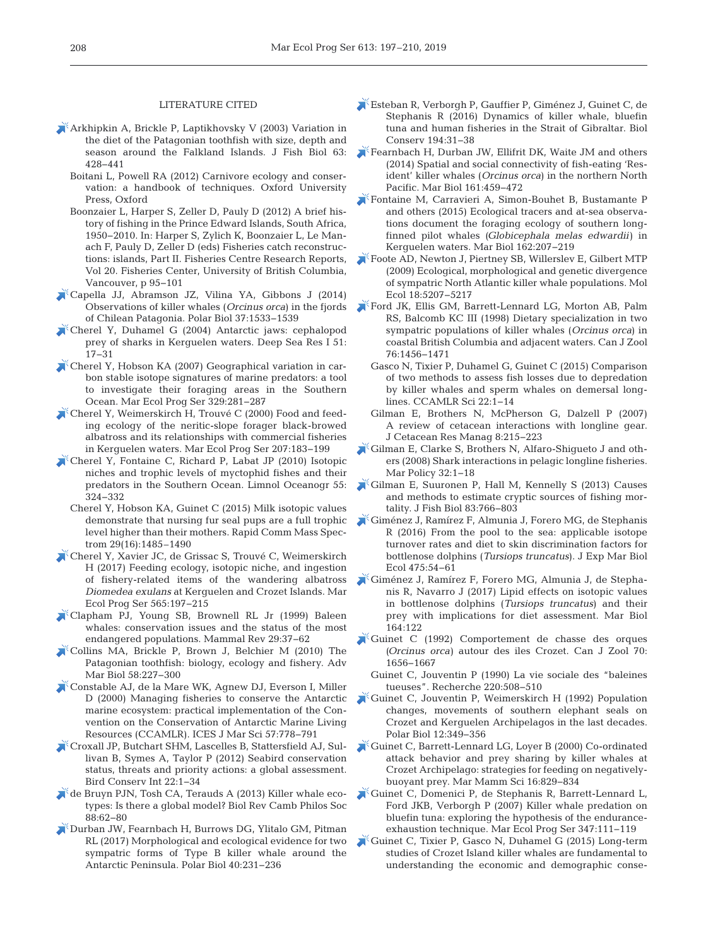#### LITERATURE CITED

- [Arkhipkin A, Brickle P, Laptikhovsky V \(2003\) Variation in](https://doi.org/10.1046/j.1095-8649.2003.00164.x) the diet of the Patagonian toothfish with size, depth and season around the Falkland Islands. J Fish Biol 63: 428−441
	- Boitani L, Powell RA (2012) Carnivore ecology and conservation: a handbook of techniques. Oxford University Press, Oxford
	- Boonzaier L, Harper S, Zeller D, Pauly D (2012) A brief history of fishing in the Prince Edward Islands, South Africa, 1950−2010. In:Harper S, Zylich K, Boonzaier L, Le Manach F, Pauly D, Zeller D (eds) Fisheries catch reconstructions: islands, Part II. Fisheries Centre Research Reports, Vol 20. Fisheries Center, University of British Columbia, Vancouver, p 95−101
- [Capella JJ, Abramson JZ, Vilina YA, Gibbons J \(2014\)](https://doi.org/10.1007/s00300-014-1535-5) Observations of killer whales (*Orcinus orca*) in the fjords of Chilean Patagonia. Polar Biol 37: 1533−1539
- [Cherel Y, Duhamel G \(2004\) Antarctic jaws:cephalopod](https://doi.org/10.1016/j.dsr.2003.09.009) prey of sharks in Kerguelen waters. Deep Sea Res I 51: 17−31
- [Cherel Y, Hobson KA \(2007\) Geographical variation in car](https://doi.org/10.3354/meps329281)bon stable isotope signatures of marine predators: a tool to investigate their foraging areas in the Southern Ocean. Mar Ecol Prog Ser 329:281-287
- [Cherel Y, Weimerskirch H, Trouvé C \(2000\) Food and feed](https://doi.org/10.3354/meps207183)ing ecology of the neritic-slope forager black-browed albatross and its relationships with commercial fisheries in Kerguelen waters. Mar Ecol Prog Ser 207: 183−199
- [Cherel Y, Fontaine C, Richard P, Labat JP \(2010\) Isotopic](https://doi.org/10.4319/lo.2010.55.1.0324) niches and trophic levels of myctophid fishes and their predators in the Southern Ocean. Limnol Oceanogr 55: 324−332
	- Cherel Y, Hobson KA, Guinet C (2015) Milk isotopic values demonstrate that nursing fur seal pups are a full trophic level higher than their mothers. Rapid Comm Mass Spectrom 29(16):1485–1490
- [Cherel Y, Xavier JC, de Grissac S, Trouvé C, Weimerskirch](https://doi.org/10.3354/meps11994) H (2017) Feeding ecology, isotopic niche, and ingestion of fishery-related items of the wandering albatross *Diomedea exulans* at Kerguelen and Crozet Islands. Mar Ecol Prog Ser 565: 197−215
- [Clapham PJ, Young SB, Brownell RL Jr \(1999\) Baleen](https://doi.org/10.1046/j.1365-2907.1999.00035.x) whales: conservation issues and the status of the most endangered populations. Mammal Rev 29:37-62
- [Collins MA, Brickle P, Brown J, Belchier M \(2010\) The](https://doi.org/10.1016/B978-0-12-381015-1.00004-6) Patagonian toothfish: biology, ecology and fishery. Adv Mar Biol 58:227-300
- [Constable AJ, de la Mare WK, Agnew DJ, Everson I, Miller](https://doi.org/10.1006/jmsc.2000.0725) D (2000) Managing fisheries to conserve the Antarctic marine ecosystem: practical implementation of the Convention on the Conservation of Antarctic Marine Living Resources (CCAMLR). ICES J Mar Sci 57:778-791
- [Croxall JP, Butchart SHM, Lascelles B, Stattersfield AJ, Sul](https://doi.org/10.1017/S0959270912000020)livan B, Symes A, Taylor P (2012) Seabird conservation status, threats and priority actions: a global assessment. Bird Conserv Int 22: 1−34
- [de Bruyn PJN, Tosh CA, Terauds A \(2013\) Killer whale eco](https://doi.org/10.1111/j.1469-185X.2012.00239.x)types: Is there a global model? Biol Rev Camb Philos Soc 88: 62−80
- [Durban JW, Fearnbach H, Burrows DG, Ylitalo GM, Pitman](https://doi.org/10.1007/s00300-016-1942-x) RL (2017) Morphological and ecological evidence for two sympatric forms of Type B killer whale around the Antarctic Peninsula. Polar Biol 40: 231−236
- [Esteban R, Verborgh P, Gauffier P, Giménez J, Guinet C, de](https://doi.org/10.1016/j.biocon.2015.11.031) Stephanis R (2016) Dynamics of killer whale, bluefin tuna and human fisheries in the Strait of Gibraltar. Biol Conserv 194: 31−38
- [Fearnbach H, Durban JW, Ellifrit DK, Waite JM and others](https://doi.org/10.1007/s00227-013-2351-0) (2014) Spatial and social connectivity of fish-eating 'Resident' killer whales (*Orcinus orca*) in the northern North Pacific. Mar Biol 161:459-472
- [Fontaine M, Carravieri A, Simon-Bouhet B, Bustamante P](https://doi.org/10.1007/s00227-014-2587-3) and others (2015) Ecological tracers and at-sea observations document the foraging ecology of southern longfinned pilot whales (*Globicephala melas edwardii*) in Kerguelen waters. Mar Biol 162:207-219
- [Foote AD, Newton J, Piertney SB, Willerslev E, Gilbert MTP](https://doi.org/10.1111/j.1365-294X.2009.04407.x) (2009) Ecological, morphological and genetic divergence of sympatric North Atlantic killer whale populations. Mol Ecol 18: 5207−5217
- [Ford JK, Ellis GM, Barrett-Lennard LG, Morton AB, Palm](https://doi.org/10.1139/z98-089) RS, Balcomb KC III (1998) Dietary specialization in two sympatric populations of killer whales (*Orcinus orca*) in coastal British Columbia and adjacent waters. Can J Zool 76: 1456−1471
	- Gasco N, Tixier P, Duhamel G, Guinet C (2015) Comparison of two methods to assess fish losses due to depredation by killer whales and sperm whales on demersal longlines. CCAMLR Sci 22: 1−14
	- Gilman E, Brothers N, McPherson G, Dalzell P (2007) A review of cetacean interactions with longline gear. J Cetacean Res Manag 8: 215−223
- [Gilman E, Clarke S, Brothers N, Alfaro-Shigueto J and oth](https://doi.org/10.1016/j.marpol.2007.05.001)ers (2008) Shark interactions in pelagic longline fisheries. Mar Policy 32:1-18
- [Gilman E, Suuronen P, Hall M, Kennelly S \(2013\) Causes](https://www.ncbi.nlm.nih.gov/entrez/query.fcgi?cmd=Retrieve&db=PubMed&list_uids=24090548&dopt=Abstract) and methods to estimate cryptic sources of fishing mortality. J Fish Biol 83: 766−803
- [Giménez J, Ramírez F, Almunia J, Forero MG, de Stephanis](https://doi.org/10.1016/j.jembe.2015.11.001) R (2016) From the pool to the sea: applicable isotope turnover rates and diet to skin discrimination factors for bottlenose dolphins (*Tursiops truncatus*). J Exp Mar Biol Ecol 475: 54−61
- [Giménez J, Ramírez F, Forero MG, Almunia J, de Stepha](https://doi.org/10.1007/s00227-017-3154-5)nis R, Navarro J (2017) Lipid effects on isotopic values in bottlenose dolphins (*Tursiops truncatus*) and their prey with implications for diet assessment. Mar Biol 164: 122
- [Guinet C \(1992\) Comportement de chasse des orques](https://doi.org/10.1139/z92-231) (*Orcinus orca*) autour des iles Crozet. Can J Zool 70: 1656−1667
- Guinet C, Jouventin P (1990) La vie sociale des "baleines tueuses". Recherche 220:508-510
- [Guinet C, Jouventin P, Weimerskirch H \(1992\) Population](https://doi.org/10.1007/BF00243106) changes, movements of southern elephant seals on Crozet and Kerguelen Archipelagos in the last decades. Polar Biol 12:349-356
- [Guinet C, Barrett-Lennard LG, Loyer B \(2000\) Co-ordinated](https://doi.org/10.1111/j.1748-7692.2000.tb00976.x) attack behavior and prey sharing by killer whales at Crozet Archipelago: strategies for feeding on negativelybuoyant prey. Mar Mamm Sci 16: 829−834
- [Guinet C, Domenici P, de Stephanis R, Barrett-Lennard L,](https://doi.org/10.3354/meps07035) Ford JKB, Verborgh P (2007) Killer whale predation on bluefin tuna: exploring the hypothesis of the enduranceexhaustion technique. Mar Ecol Prog Ser 347: 111−119
- [Guinet C, Tixier P, Gasco N, Duhamel G \(2015\) Long-term](https://doi.org/10.1093/icesjms/fsu221) studies of Crozet Island killer whales are fundamental to understanding the economic and demographic conse-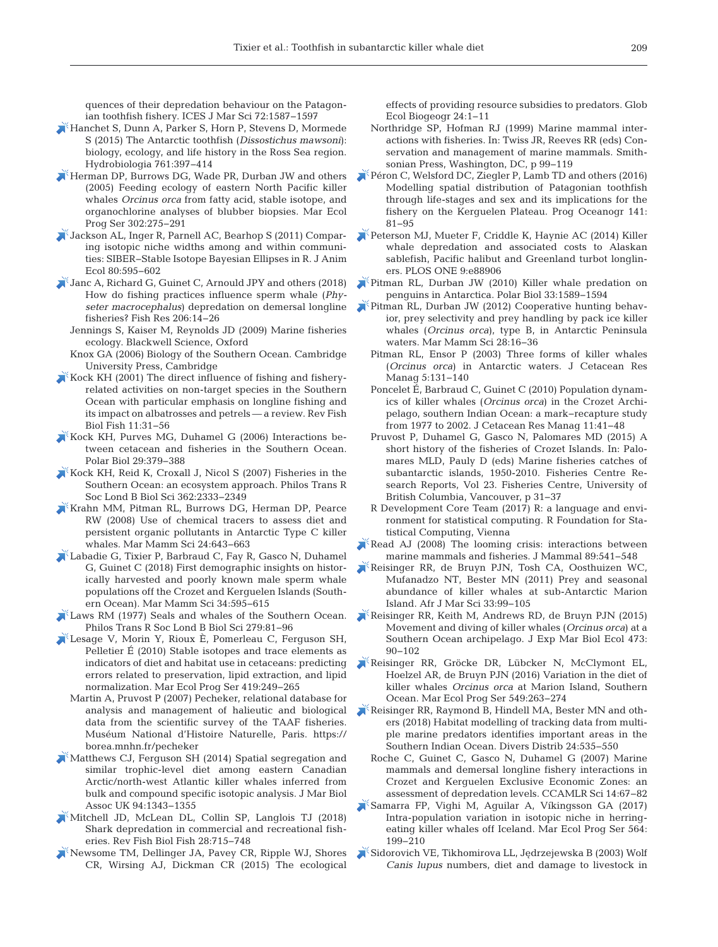quences of their depredation behaviour on the Patagonian toothfish fishery. ICES J Mar Sci 72: 1587−1597

- [Hanchet S, Dunn A, Parker S, Horn P, Stevens D, Mormede](https://doi.org/10.1007/s10750-015-2435-6) S (2015) The Antarctic toothfish (*Dissostichus mawsoni*): biology, ecology, and life history in the Ross Sea region. Hydrobiologia 761: 397−414
- [Herman DP, Burrows DG, Wade PR, Durban JW and others](https://doi.org/10.3354/meps302275) (2005) Feeding ecology of eastern North Pacific killer whales *Orcinus orca* from fatty acid, stable isotope, and organochlorine analyses of blubber biopsies. Mar Ecol Prog Ser 302:275-291
- [Jackson AL, Inger R, Parnell AC, Bearhop S \(2011\) Compar](https://doi.org/10.1111/j.1365-2656.2011.01806.x)ing isotopic niche widths among and within communities:SIBER−Stable Isotope Bayesian Ellipses in R. J Anim Ecol 80: 595−602
- [Janc A, Richard G, Guinet C, Arnould JPY and others \(2018\)](https://doi.org/10.1016/j.fishres.2018.04.019) How do fishing practices influence sperm whale (*Physeter macrocephalus*) depredation on demersal longline fisheries? Fish Res 206: 14−26
	- Jennings S, Kaiser M, Reynolds JD (2009) Marine fisheries ecology. Blackwell Science, Oxford
	- Knox GA (2006) Biology of the Southern Ocean. Cambridge University Press, Cambridge
- [Kock KH \(2001\) The direct influence of fishing and fishery](https://doi.org/10.1023/A%3A1014207719529)related activities on non-target species in the Southern Ocean with particular emphasis on longline fishing and its impact on albatrosses and petrels — a review. Rev Fish Biol Fish 11:31-56
- [Kock KH, Purves MG, Duhamel G \(2006\) Interactions be](https://doi.org/10.1007/s00300-005-0067-4)  tween cetacean and fisheries in the Southern Ocean. Polar Biol 29: 379−388
- [Kock KH, Reid K, Croxall J, Nicol S \(2007\) Fisheries in the](https://doi.org/10.1098/rstb.2006.1954) Southern Ocean: an ecosystem approach. Philos Trans R Soc Lond B Biol Sci 362: 2333−2349
- [Krahn MM, Pitman RL, Burrows DG, Herman DP, Pearce](https://doi.org/10.1111/j.1748-7692.2008.00213.x) RW (2008) Use of chemical tracers to assess diet and persistent organic pollutants in Antarctic Type C killer whales. Mar Mamm Sci 24:643-663
- [Labadie G, Tixier P, Barbraud C, Fay R, Gasco N, Duhamel](https://doi.org/10.1111/mms.12469) G, Guinet C (2018) First demographic insights on historically harvested and poorly known male sperm whale populations off the Crozet and Kerguelen Islands (Southern Ocean). Mar Mamm Sci 34: 595−615
- [Laws RM \(1977\) Seals and whales of the Southern Ocean.](https://doi.org/10.1098/rstb.1977.0073) Philos Trans R Soc Lond B Biol Sci 279: 81−96
- [Lesage V, Morin Y, Rioux È, Pomerleau C, Ferguson SH,](https://doi.org/10.3354/meps08825) Pelletier É (2010) Stable isotopes and trace elements as indicators of diet and habitat use in cetaceans: predicting errors related to preservation, lipid extraction, and lipid normalization. Mar Ecol Prog Ser 419:249-265
	- Martin A, Pruvost P (2007) Pecheker, relational database for analysis and management of halieutic and biological data from the scientific survey of the TAAF fisheries. Muséum National d'Histoire Naturelle, Paris. https:// borea. mnhn.fr/pecheker
- [Matthews CJ, Ferguson SH \(2014\) Spatial segregation and](https://doi.org/10.1017/S0025315413001379) similar trophic-level diet among eastern Canadian Arctic/north-west Atlantic killer whales inferred from bulk and compound specific isotopic analysis. J Mar Biol Assoc UK 94: 1343−1355
- [Mitchell JD, McLean DL, Collin SP, Langlois TJ \(2018\)](https://doi.org/10.1007/s11160-018-9528-z) Shark depredation in commercial and recreational fisheries. Rev Fish Biol Fish 28: 715−748
- [Newsome TM, Dellinger JA, Pavey CR, Ripple WJ, Shores](https://doi.org/10.1111/geb.12236) CR, Wirsing AJ, Dickman CR (2015) The ecological

effects of providing resource subsidies to predators. Glob Ecol Biogeogr 24: 1−11

- Northridge SP, Hofman RJ (1999) Marine mammal inter actions with fisheries. In:Twiss JR, Reeves RR (eds) Conservation and management of marine mammals. Smithsonian Press, Washington, DC, p 99−119
- [Péron C, Welsford DC, Ziegler P, Lamb TD and others \(2016\)](https://doi.org/10.1016/j.pocean.2015.12.003) Modelling spatial distribution of Patagonian toothfish through life-stages and sex and its implications for the fishery on the Kerguelen Plateau. Prog Oceanogr 141: 81−95
- [Peterson MJ, Mueter F, Criddle K, Haynie AC \(2014\) Killer](https://doi.org/10.1371/journal.pone.0088906) whale depredation and associated costs to Alaskan sablefish, Pacific halibut and Greenland turbot longliners. PLOS ONE 9:e88906
- [Pitman RL, Durban JW \(2010\) Killer whale predation on](https://doi.org/10.1007/s00300-010-0853-5) penguins in Antarctica. Polar Biol 33: 1589−1594
- [Pitman RL, Durban JW \(2012\) Cooperative hunting behav](https://doi.org/10.1111/j.1748-7692.2010.00453.x)ior, prey selectivity and prey handling by pack ice killer whales (*Orcinus orca*), type B, in Antarctic Peninsula waters. Mar Mamm Sci 28: 16−36
	- Pitman RL, Ensor P (2003) Three forms of killer whales (*Orcinus orca*) in Antarctic waters. J Cetacean Res Manag 5:131-140
	- Poncelet É, Barbraud C, Guinet C (2010) Population dynamics of killer whales (*Orcinus orca*) in the Crozet Archi pelago, southern Indian Ocean:a mark−recapture study from 1977 to 2002. J Cetacean Res Manag 11:41-48
	- Pruvost P, Duhamel G, Gasco N, Palomares MD (2015) A short history of the fisheries of Crozet Islands. In: Palomares MLD, Pauly D (eds) Marine fisheries catches of subantarctic islands, 1950-2010. Fisheries Centre Re search Reports, Vol 23. Fisheries Centre, University of British Columbia, Vancouver, p 31−37
	- R Development Core Team (2017) R: a language and environment for statistical computing. R Foundation for Statistical Computing, Vienna
- $\blacktriangleright$  Read AJ (2008) The looming crisis: interactions between marine mammals and fisheries. J Mammal 89:541-548
- [Reisinger RR, de Bruyn PJN, Tosh CA, Oosthuizen WC,](https://doi.org/10.2989/1814232X.2011.572356) Mufanadzo NT, Bester MN (2011) Prey and seasonal abundance of killer whales at sub-Antarctic Marion Island. Afr J Mar Sci 33: 99−105
- [Reisinger RR, Keith M, Andrews RD, de Bruyn PJN \(2015\)](https://doi.org/10.1016/j.jembe.2015.08.008) Movement and diving of killer whales (*Orcinus orca*) at a Southern Ocean archipelago. J Exp Mar Biol Ecol 473: 90−102
- [Reisinger RR, Gröcke DR, Lübcker N, McClymont EL,](https://doi.org/10.3354/meps11676) Hoelzel AR, de Bruyn PJN (2016) Variation in the diet of killer whales *Orcinus orca* at Marion Island, Southern Ocean. Mar Ecol Prog Ser 549:263-274
- [Reisinger RR, Raymond B, Hindell MA, Bester MN and oth](https://doi.org/10.1111/ddi.12702)ers (2018) Habitat modelling of tracking data from multiple marine predators identifies important areas in the Southern Indian Ocean. Divers Distrib 24: 535−550
	- Roche C, Guinet C, Gasco N, Duhamel G (2007) Marine mammals and demersal longline fishery interactions in Crozet and Kerguelen Exclusive Economic Zones: an assessment of depredation levels. CCAMLR Sci 14:67-82
- [Samarra FP, Vighi M, Aguilar A, Víkingsson GA \(2017\)](https://doi.org/10.3354/meps11998) Intra-population variation in isotopic niche in herringeating killer whales off Iceland. Mar Ecol Prog Ser 564: 199−210
- Sidorovich VE, Tikhomirova LL, Jędrzejewska B (2003) Wolf *Canis lupus* numbers, diet and damage to livestock in